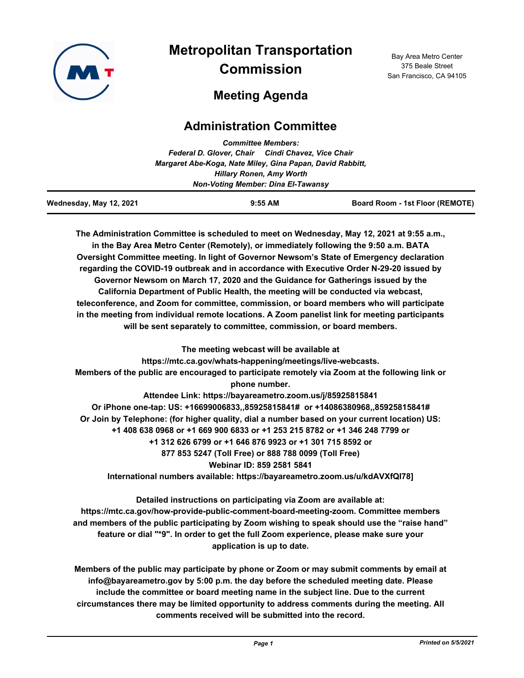

# **Metropolitan Transportation Commission**

Bay Area Metro Center 375 Beale Street San Francisco, CA 94105

## **Meeting Agenda**

### **Administration Committee**

| Wednesday, May 12, 2021                   |                                                           | $9:55$ AM                       | Board Room - 1st Floor (REMOTE) |  |
|-------------------------------------------|-----------------------------------------------------------|---------------------------------|---------------------------------|--|
| <b>Non-Voting Member: Dina El-Tawansy</b> |                                                           |                                 |                                 |  |
|                                           |                                                           | <b>Hillary Ronen, Amy Worth</b> |                                 |  |
|                                           | Margaret Abe-Koga, Nate Miley, Gina Papan, David Rabbitt, |                                 |                                 |  |
|                                           | Federal D. Glover, Chair Cindi Chavez, Vice Chair         |                                 |                                 |  |
|                                           |                                                           | <b>Committee Members:</b>       |                                 |  |

**The Administration Committee is scheduled to meet on Wednesday, May 12, 2021 at 9:55 a.m., in the Bay Area Metro Center (Remotely), or immediately following the 9:50 a.m. BATA Oversight Committee meeting. In light of Governor Newsom's State of Emergency declaration regarding the COVID-19 outbreak and in accordance with Executive Order N-29-20 issued by Governor Newsom on March 17, 2020 and the Guidance for Gatherings issued by the California Department of Public Health, the meeting will be conducted via webcast, teleconference, and Zoom for committee, commission, or board members who will participate in the meeting from individual remote locations. A Zoom panelist link for meeting participants will be sent separately to committee, commission, or board members.**

**The meeting webcast will be available at https://mtc.ca.gov/whats-happening/meetings/live-webcasts. Members of the public are encouraged to participate remotely via Zoom at the following link or phone number. Attendee Link: https://bayareametro.zoom.us/j/85925815841 Or iPhone one-tap: US: +16699006833,,85925815841# or +14086380968,,85925815841# Or Join by Telephone: (for higher quality, dial a number based on your current location) US: +1 408 638 0968 or +1 669 900 6833 or +1 253 215 8782 or +1 346 248 7799 or +1 312 626 6799 or +1 646 876 9923 or +1 301 715 8592 or 877 853 5247 (Toll Free) or 888 788 0099 (Toll Free) Webinar ID: 859 2581 5841 International numbers available: https://bayareametro.zoom.us/u/kdAVXfQI78]**

**Detailed instructions on participating via Zoom are available at: https://mtc.ca.gov/how-provide-public-comment-board-meeting-zoom. Committee members and members of the public participating by Zoom wishing to speak should use the "raise hand" feature or dial "\*9". In order to get the full Zoom experience, please make sure your application is up to date.**

**Members of the public may participate by phone or Zoom or may submit comments by email at info@bayareametro.gov by 5:00 p.m. the day before the scheduled meeting date. Please include the committee or board meeting name in the subject line. Due to the current circumstances there may be limited opportunity to address comments during the meeting. All comments received will be submitted into the record.**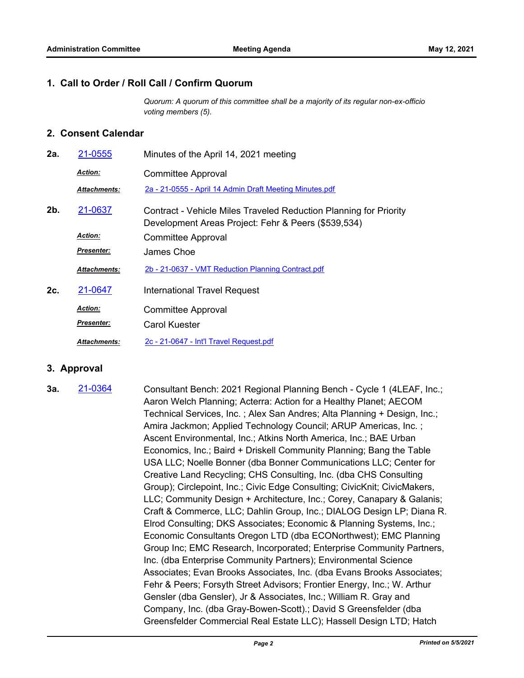#### **1. Call to Order / Roll Call / Confirm Quorum**

*Quorum: A quorum of this committee shall be a majority of its regular non-ex-officio voting members (5).*

#### **2. Consent Calendar**

| 2a.    | 21-0555             | Minutes of the April 14, 2021 meeting                                                                                    |  |
|--------|---------------------|--------------------------------------------------------------------------------------------------------------------------|--|
|        | <b>Action:</b>      | <b>Committee Approval</b>                                                                                                |  |
|        | <b>Attachments:</b> | 2a - 21-0555 - April 14 Admin Draft Meeting Minutes.pdf                                                                  |  |
| $2b$ . | 21-0637             | Contract - Vehicle Miles Traveled Reduction Planning for Priority<br>Development Areas Project: Fehr & Peers (\$539,534) |  |
|        | <b>Action:</b>      | <b>Committee Approval</b>                                                                                                |  |
|        | Presenter:          | James Choe                                                                                                               |  |
|        | <b>Attachments:</b> | 2b - 21-0637 - VMT Reduction Planning Contract.pdf                                                                       |  |
| 2c.    | 21-0647             | <b>International Travel Request</b>                                                                                      |  |
|        | <b>Action:</b>      | <b>Committee Approval</b>                                                                                                |  |
|        | <u>Presenter:</u>   | Carol Kuester                                                                                                            |  |
|        | <b>Attachments:</b> | 2c - 21-0647 - Int'l Travel Request.pdf                                                                                  |  |

#### **3. Approval**

Consultant Bench: 2021 Regional Planning Bench - Cycle 1 (4LEAF, Inc.; Aaron Welch Planning; Acterra: Action for a Healthy Planet; AECOM Technical Services, Inc. ; Alex San Andres; Alta Planning + Design, Inc.; Amira Jackmon; Applied Technology Council; ARUP Americas, Inc. ; Ascent Environmental, Inc.; Atkins North America, Inc.; BAE Urban Economics, Inc.; Baird + Driskell Community Planning; Bang the Table USA LLC; Noelle Bonner (dba Bonner Communications LLC; Center for Creative Land Recycling; CHS Consulting, Inc. (dba CHS Consulting Group); Circlepoint, Inc.; Civic Edge Consulting; CivicKnit; CivicMakers, LLC; Community Design + Architecture, Inc.; Corey, Canapary & Galanis; Craft & Commerce, LLC; Dahlin Group, Inc.; DIALOG Design LP; Diana R. Elrod Consulting; DKS Associates; Economic & Planning Systems, Inc.; Economic Consultants Oregon LTD (dba ECONorthwest); EMC Planning Group Inc; EMC Research, Incorporated; Enterprise Community Partners, Inc. (dba Enterprise Community Partners); Environmental Science Associates; Evan Brooks Associates, Inc. (dba Evans Brooks Associates; Fehr & Peers; Forsyth Street Advisors; Frontier Energy, Inc.; W. Arthur Gensler (dba Gensler), Jr & Associates, Inc.; William R. Gray and Company, Inc. (dba Gray-Bowen-Scott).; David S Greensfelder (dba Greensfelder Commercial Real Estate LLC); Hassell Design LTD; Hatch **3a.** [21-0364](http://mtc.legistar.com/gateway.aspx?m=l&id=/matter.aspx?key=21957)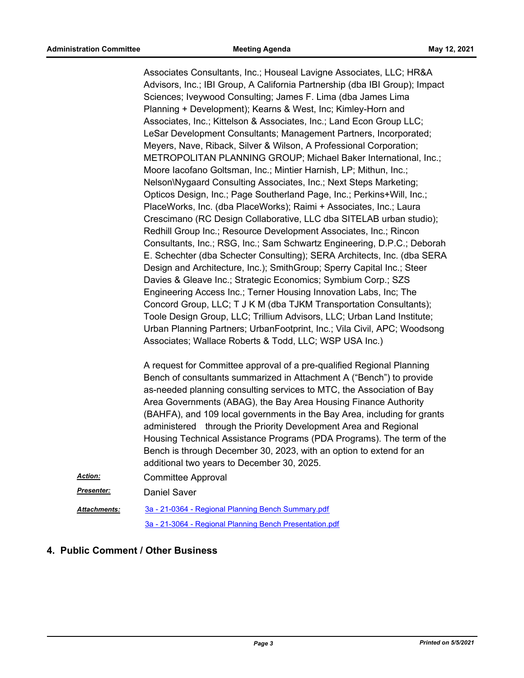Associates Consultants, Inc.; Houseal Lavigne Associates, LLC; HR&A Advisors, Inc.; IBI Group, A California Partnership (dba IBI Group); Impact Sciences; Iveywood Consulting; James F. Lima (dba James Lima Planning + Development); Kearns & West, Inc; Kimley-Horn and Associates, Inc.; Kittelson & Associates, Inc.; Land Econ Group LLC; LeSar Development Consultants; Management Partners, Incorporated; Meyers, Nave, Riback, Silver & Wilson, A Professional Corporation; METROPOLITAN PLANNING GROUP; Michael Baker International, Inc.; Moore Iacofano Goltsman, Inc.; Mintier Harnish, LP; Mithun, Inc.; Nelson\Nygaard Consulting Associates, Inc.; Next Steps Marketing; Opticos Design, Inc.; Page Southerland Page, Inc.; Perkins+Will, Inc.; PlaceWorks, Inc. (dba PlaceWorks); Raimi + Associates, Inc.; Laura Crescimano (RC Design Collaborative, LLC dba SITELAB urban studio); Redhill Group Inc.; Resource Development Associates, Inc.; Rincon Consultants, Inc.; RSG, Inc.; Sam Schwartz Engineering, D.P.C.; Deborah E. Schechter (dba Schecter Consulting); SERA Architects, Inc. (dba SERA Design and Architecture, Inc.); SmithGroup; Sperry Capital Inc.; Steer Davies & Gleave Inc.; Strategic Economics; Symbium Corp.; SZS Engineering Access Inc.; Terner Housing Innovation Labs, Inc; The Concord Group, LLC; T J K M (dba TJKM Transportation Consultants); Toole Design Group, LLC; Trillium Advisors, LLC; Urban Land Institute; Urban Planning Partners; UrbanFootprint, Inc.; Vila Civil, APC; Woodsong Associates; Wallace Roberts & Todd, LLC; WSP USA Inc.)

A request for Committee approval of a pre-qualified Regional Planning Bench of consultants summarized in Attachment A ("Bench") to provide as-needed planning consulting services to MTC, the Association of Bay Area Governments (ABAG), the Bay Area Housing Finance Authority (BAHFA), and 109 local governments in the Bay Area, including for grants administered through the Priority Development Area and Regional Housing Technical Assistance Programs (PDA Programs). The term of the Bench is through December 30, 2023, with an option to extend for an additional two years to December 30, 2025.

Committee Approval *Action:*

**Presenter:** Daniel Saver

[3a - 21-0364 - Regional Planning Bench Summary.pdf](http://mtc.legistar.com/gateway.aspx?M=F&ID=fd703e23-3b00-4e9b-af46-f36a6164cb68.pdf) [3a - 21-3064 - Regional Planning Bench Presentation.pdf](http://mtc.legistar.com/gateway.aspx?M=F&ID=69839407-7bf7-42e6-9759-4416336e7199.pdf) *Attachments:*

#### **4. Public Comment / Other Business**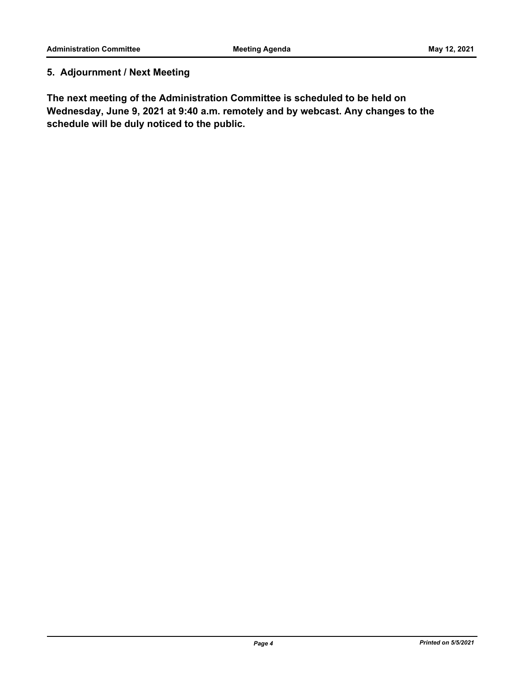### **5. Adjournment / Next Meeting**

**The next meeting of the Administration Committee is scheduled to be held on Wednesday, June 9, 2021 at 9:40 a.m. remotely and by webcast. Any changes to the schedule will be duly noticed to the public.**